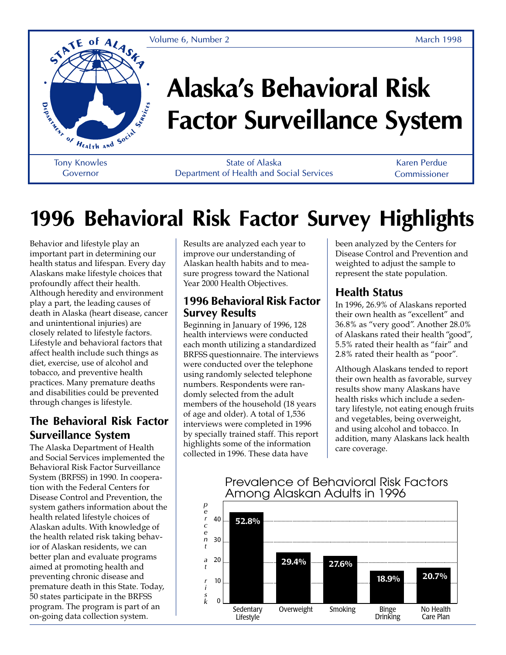Volume 6, Number 2 and 1998 March 1998



# **Alaska's Behavioral Risk Factor Surveillance System**

Tony Knowles Governor

State of Alaska Department of Health and Social Services

Karen Perdue Commissioner

# **1996 Behavioral Risk Factor Survey Highlights**

Behavior and lifestyle play an important part in determining our health status and lifespan. Every day Alaskans make lifestyle choices that profoundly affect their health. Although heredity and environment play a part, the leading causes of death in Alaska (heart disease, cancer and unintentional injuries) are closely related to lifestyle factors. Lifestyle and behavioral factors that affect health include such things as diet, exercise, use of alcohol and tobacco, and preventive health practices. Many premature deaths and disabilities could be prevented through changes is lifestyle.

#### **The Behavioral Risk Factor Surveillance System**

The Alaska Department of Health and Social Services implemented the Behavioral Risk Factor Surveillance System (BRFSS) in 1990. In cooperation with the Federal Centers for Disease Control and Prevention, the system gathers information about the health related lifestyle choices of Alaskan adults. With knowledge of the health related risk taking behavior of Alaskan residents, we can better plan and evaluate programs aimed at promoting health and preventing chronic disease and premature death in this State. Today, 50 states participate in the BRFSS program. The program is part of an on-going data collection system.

Results are analyzed each year to improve our understanding of Alaskan health habits and to measure progress toward the National Year 2000 Health Objectives.

#### **1996 Behavioral Risk Factor Survey Results**

Beginning in January of 1996, 128 health interviews were conducted each month utilizing a standardized BRFSS questionnaire. The interviews were conducted over the telephone using randomly selected telephone numbers. Respondents were randomly selected from the adult members of the household (18 years of age and older). A total of 1,536 interviews were completed in 1996 by specially trained staff. This report highlights some of the information collected in 1996. These data have

been analyzed by the Centers for Disease Control and Prevention and weighted to adjust the sample to represent the state population.

### **Health Status**

In 1996, 26.9% of Alaskans reported their own health as "excellent" and 36.8% as "very good". Another 28.0% of Alaskans rated their health "good", 5.5% rated their health as "fair" and 2.8% rated their health as "poor".

Although Alaskans tended to report their own health as favorable, survey results show many Alaskans have health risks which include a sedentary lifestyle, not eating enough fruits and vegetables, being overweight, and using alcohol and tobacco. In addition, many Alaskans lack health care coverage.



#### Prevalence of Behavioral Risk Factors Among Alaskan Adults in 1996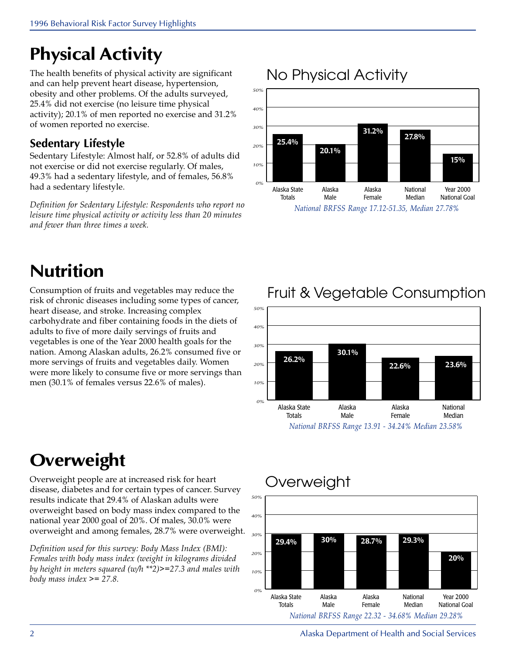### **Physical Activity**

The health benefits of physical activity are significant and can help prevent heart disease, hypertension, obesity and other problems. Of the adults surveyed, 25.4% did not exercise (no leisure time physical activity); 20.1% of men reported no exercise and 31.2% of women reported no exercise.

### **Sedentary Lifestyle**

Sedentary Lifestyle: Almost half, or 52.8% of adults did not exercise or did not exercise regularly. Of males, 49.3% had a sedentary lifestyle, and of females, 56.8% had a sedentary lifestyle.

Definition for Sedentary Lifestyle: Respondents who report no leisure time physical activity or activity less than 20 minutes and fewer than three times a week.

### **Nutrition**

Consumption of fruits and vegetables may reduce the risk of chronic diseases including some types of cancer, heart disease, and stroke. Increasing complex carbohydrate and fiber containing foods in the diets of adults to five of more daily servings of fruits and vegetables is one of the Year 2000 health goals for the nation. Among Alaskan adults, 26.2% consumed five or more servings of fruits and vegetables daily. Women were more likely to consume five or more servings than men (30.1% of females versus 22.6% of males).

### **Overweight**

Overweight people are at increased risk for heart disease, diabetes and for certain types of cancer. Survey results indicate that 29.4% of Alaskan adults were overweight based on body mass index compared to the national year 2000 goal of 20%. Of males, 30.0% were overweight and among females, 28.7% were overweight.

Definition used for this survey: Body Mass Index (BMI): Females with body mass index (weight in kilograms divided by height in meters squared (w/h \*\*2)>=27.3 and males with body mass index  $\ge$  = 27.8.

### No Physical Activity





Fruit & Vegetable Consumption



2 Alaska Department of Health and Social Services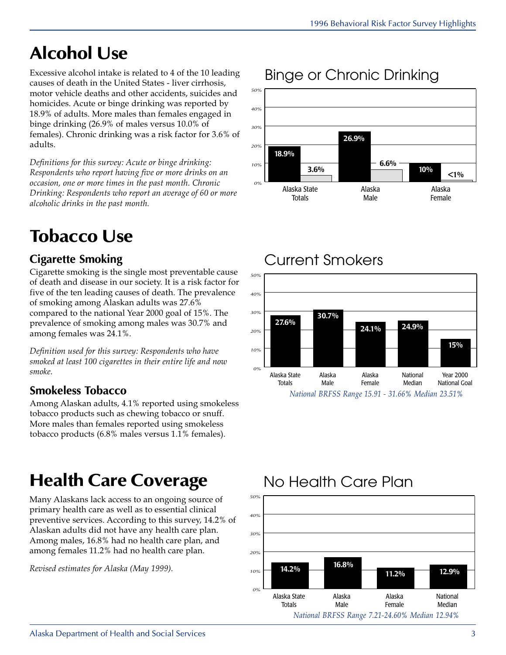### **Alcohol Use**

Excessive alcohol intake is related to 4 of the 10 leading causes of death in the United States - liver cirrhosis, motor vehicle deaths and other accidents, suicides and homicides. Acute or binge drinking was reported by 18.9% of adults. More males than females engaged in binge drinking (26.9% of males versus 10.0% of females). Chronic drinking was a risk factor for 3.6% of adults.

Definitions for this survey: Acute or binge drinking: Respondents who report having five or more drinks on an occasion, one or more times in the past month. Chronic Drinking: Respondents who report an average of 60 or more alcoholic drinks in the past month.

### **Tobacco Use**

### **Cigarette Smoking**

Cigarette smoking is the single most preventable cause of death and disease in our society. It is a risk factor for five of the ten leading causes of death. The prevalence of smoking among Alaskan adults was 27.6% compared to the national Year 2000 goal of 15%. The prevalence of smoking among males was 30.7% and among females was 24.1%.

Definition used for this survey: Respondents who have smoked at least 100 cigarettes in their entire life and now smoke.

### **Smokeless Tobacco**

Among Alaskan adults, 4.1% reported using smokeless tobacco products such as chewing tobacco or snuff. More males than females reported using smokeless tobacco products (6.8% males versus 1.1% females).

## **Health Care Coverage**

Many Alaskans lack access to an ongoing source of primary health care as well as to essential clinical preventive services. According to this survey, 14.2% of Alaskan adults did not have any health care plan. Among males, 16.8% had no health care plan, and among females 11.2% had no health care plan.

Revised estimates for Alaska (May 1999).

### Binge or Chronic Drinking



### Current Smokers



### No Health Care Plan